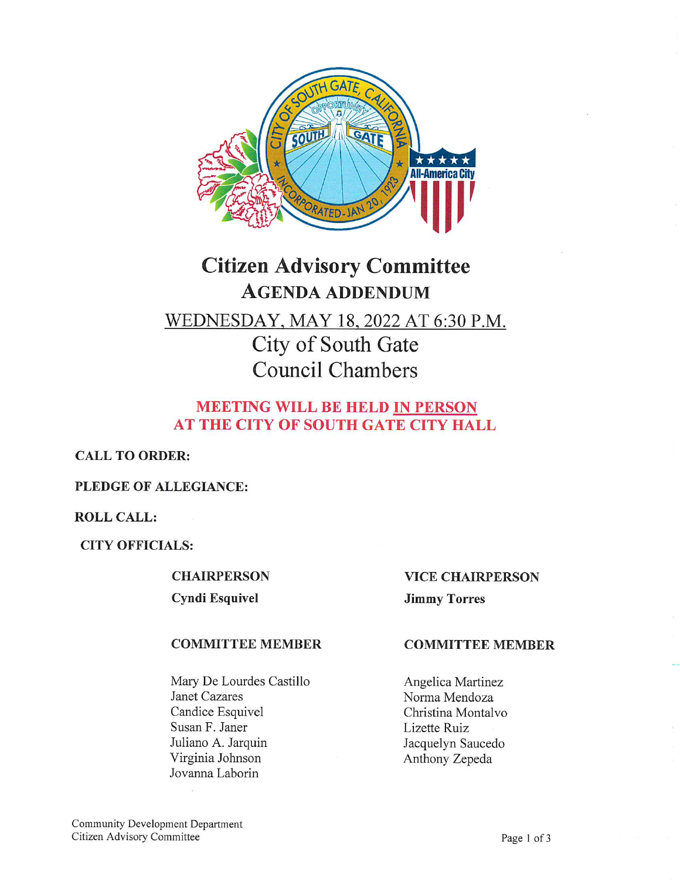

# Citizen Advisory Committee AGENDA ADDENDUM WEDNESDAY, MAY 18, 2022 AT 6:30 P.M. City of South Gate Council Chambers

# MEETING WILL BE HELD IN PERSON AT THE CITY OF SOUTH GATE CITY HALL

CALL TO ORDER:

# PLEDGE OF ALLEGIANCE:

# ROLL CALL:

CITY OFFICIALS:

#### **CHAIRPERSON**

Cyndi Esquivel

## COMMITTEE MEMBER

Mary De Lourdes Castillo Janet Cazares Candice Esquivel Susan F. Janer Juliano A. Jarquin Virginia Johnson Jovanna Laborin

## VICE CHAIRPERSON

Jimmy Torres

#### COMMITTEE MEMBER

Angelica Martinez Norma Mendoza Christina Montalvo Lizette Ruiz Jacquelyn Saucedo Anthony Zepeda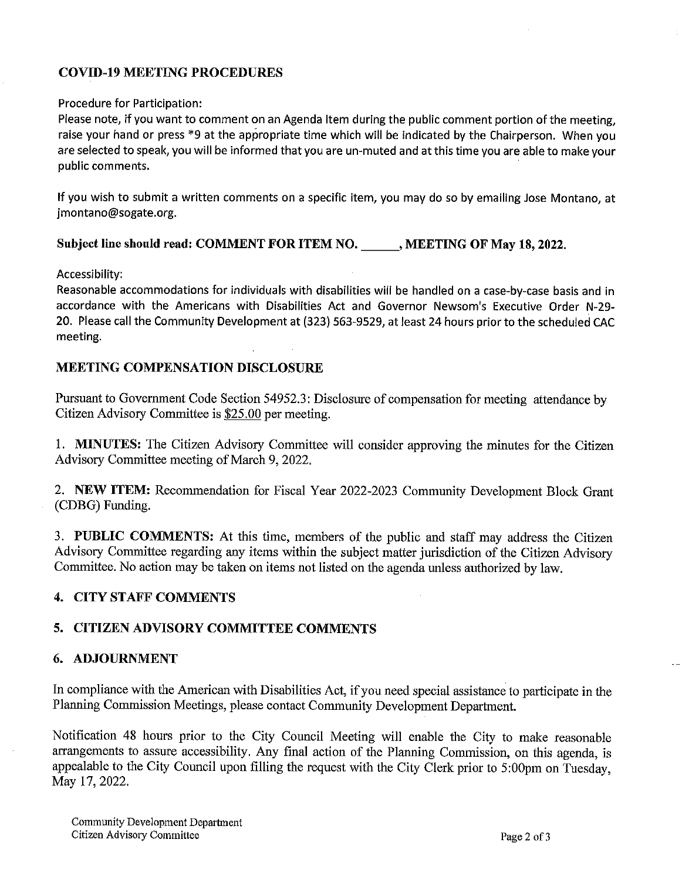# COVID-19 MEETING PROCEDURES

#### Procedure for Participation:

Please note, if you want to comment on an Agenda Item during the public comment portion of the meeting, raise your hand or press \*9 at the appropriate time which will be indicated by the Chairperson. When you are selected to speak, you will be informed that you are un-muted and at this time you are able to make your public comments.

If you wish to submit a written comments on a specific item, you may do so by emailing Jose Montano, at jmontano@sogate.org.

## Subject line should read: COMMENT FOR ITEM NO. MEETING OF May 18, 2022.

Accessibility:

Reasonable accommodations for individuals with disabilities will be handled on a case-by-case basis and in accordance with the Americans with Disabilities Act and Governor Newsom's Executive Order N-29-20. Please call the Community Development at (323) 563-9529, at least 24 hours prior to the scheduled CAC meeting.

## MEETING COMPENSATION DISCLOSURE

Pursuant to Government Code Section 54952.3: Disclosure of compensation for meeting attendance by Citizen Advisory Committee is \$25.00 per meeting.

1. MINUTES: The Citizen Advisory Committee will consider approving the minutes for the Citizen Advisory Committee meeting of March 9, 2022.

2. NEW ITEM: Recommendation for Fiscal Year 2022-2023 Community Development Block Grant (CDBG) Funding.

3. PUBLIC COMMENTS: At this time, members of the public and staff may address the Citizen Advisory Committee regarding any items within the subject matter jurisdiction of the Citizen Advisory Committee. No action may be taken on items not listed on the agenda unless authorized by law.

# 4. CITY STAFF COMMENTS

# 5. CITIZEN ADVISORY COMMITTEE COMMENTS

## 6. ADJOURNMENT

In compliance with the American with Disabilities Act, if you need special assistance to participate in the Planning Commission Meetings, please contact Community Development Department.

Notification 48 hours prior to the City Council Meeting will enable the City to make reasonable arrangements to assure accessibility. Any final action of the Planning Commission, on this agenda, is appealable to the City Council upon filling the request with the City Clerk prior to 5:00pm on Tuesday, May 17, 2022.

Community Development Department Citizen Advisory Committee Page 2 of 3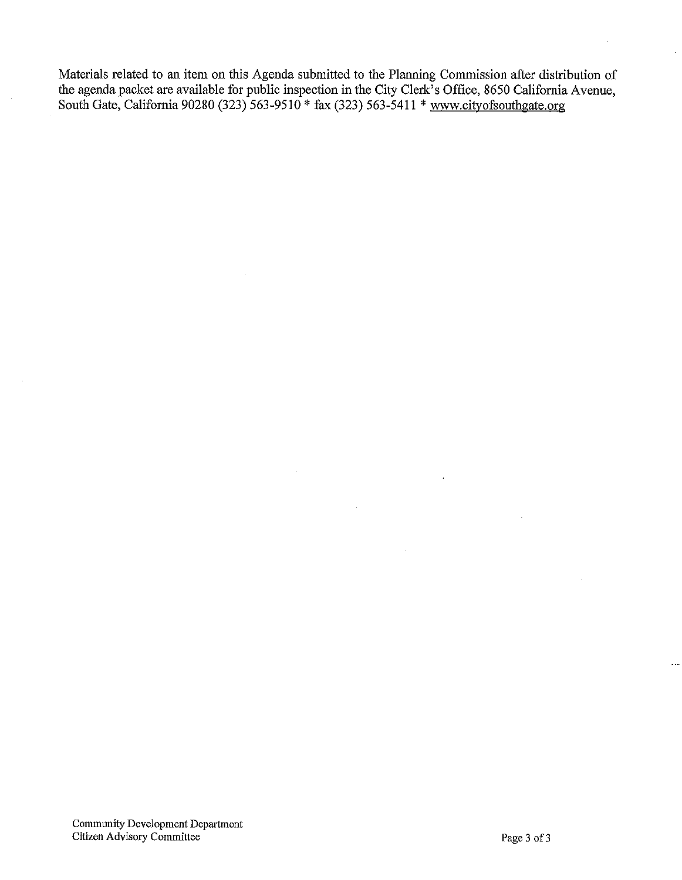Materials related to an item on this Agenda submitted to the Planning Commission after distribution of the agenda packet are available for public inspection in the City Clerk's Office, 8650 California Avenue, South Gate, California 90280 (323) 563-9510 \* fax (323) 563-5411 \* www.cityofsouthga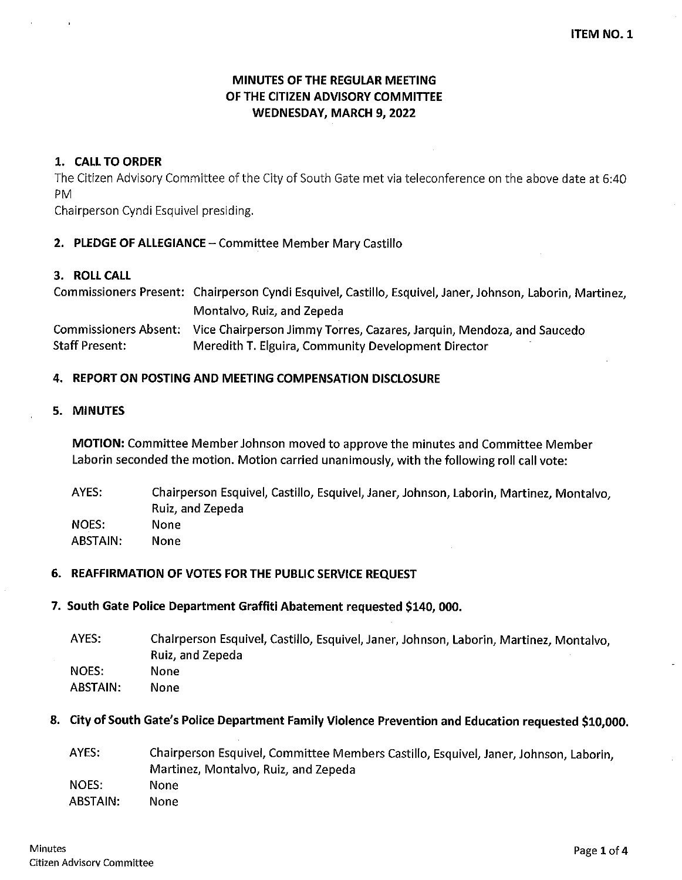# MINUTES OF THE REGULAR MEETING OF THE CITIZEN ADVISORY COMMITTEE WEDNESDAY, MARCH 9, 2022

## 1. CALL TO ORDER

The Citizen Advisory Committee of the City of South Gate met via teleconference on the above date at 6:40 PM

Chairperson Cyndi Esquivel presiding.

## 2. PLEDGE OF ALLEGIANCE - Committee Member Mary Castillo

## 3. ROLL CALL

Commissioners Present: Chairperson Cyndi Esquivel, Castillo, Esquivel, Janer, Johnson, Laborin, Martinez, Montalvo, Ruiz, and Zepeda Commissioners Absent: Vice Chairperson Jimmy Torres, Cazares, Jarquin, Mendoza, and Saucedo Staff Present: Meredith T. Elguira, Community Development Director

## 4. REPORT ON POSTING AND MEETING COMPENSATION DISCLOSURE

#### 5. MINUTES

MOTION: Committee Member Johnson moved to approve the minutes and Committee Member Laborin seconded the motion. Motion carried unanimously, with the following roll call vote:

AYES: NOES: ABSTAIN: Chairperson Esquivel, Castillo, Esquivel, Janer, Johnson, Laborin, Martinez, Montalvo, Ruiz, and Zepeda None None

## 6. REAFFIRMATION OF VOTES FOR THE PUBLIC SERVICE REQUEST

#### 7. South Gate Police Department Graffiti Abatement requested S140, 000.

| AYES:    | Chalrperson Esquivel, Castillo, Esquivel, Janer, Johnson, Laborin, Martinez, Montalvo, |
|----------|----------------------------------------------------------------------------------------|
|          | Ruiz, and Zepeda                                                                       |
| NOES:    | None                                                                                   |
| ABSTAIN: | None                                                                                   |
|          |                                                                                        |

## 8. City of South Gate's Police Department Family Violence Prevention and Education requested \$10,000.

AYES: NOES: ABSTAIN: Chairperson Esquivel, Committee Members Castillo, Esquivel, Janer, Johnson, Laborin, Martinez, Montalvo, Ruiz, and Zepeda None None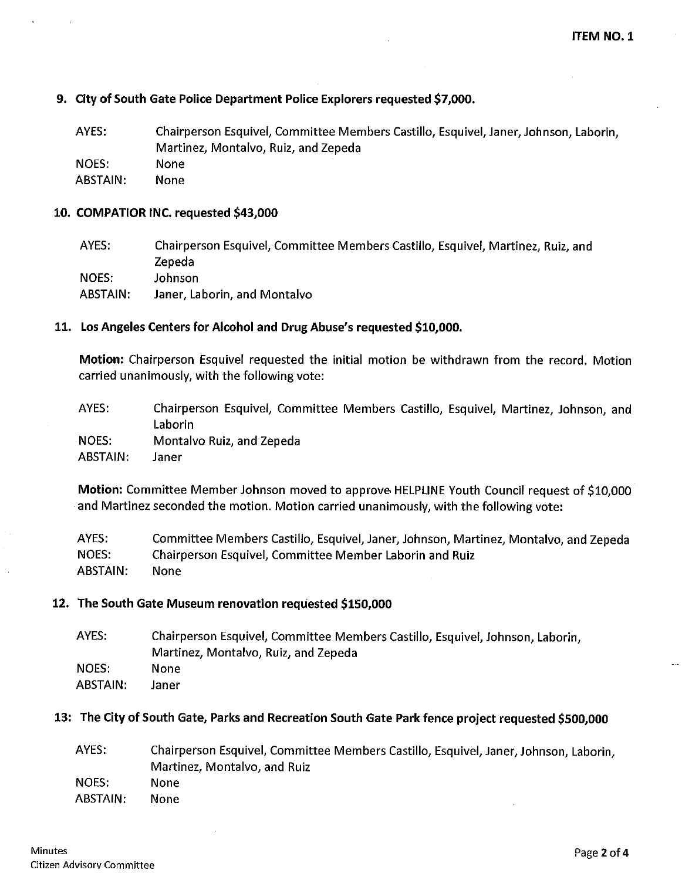#### 9. City of South Gate Police Department Police Explorers requested \$7,000.

AYES: NOES: ABSTAIN: Chairperson Esquivel, Committee Members Castillo, Esquivel, Janer, Johnson, Laborin, Martinez, Montalvo, Ruiz, and Zepeda None None

#### 10. COMPATIOR INC. requested S43,000

AYES: NOES: ABSTAIN: Chairperson Esquivel, Committee Members Castillo, Esquivel, Martinez, Ruiz, and Zepeda Johnson Janer, Laborin, and Montalvo

#### 11. Los Angeles Centers for Alcohol and Drug Abuse's requested SI0,000.

Motion: Chairperson Esquivel requested the initial motion be withdrawn from the record. Motion carried unanimously, with the following vote:

| AYES:    | Chairperson Esquivel, Committee Members Castillo, Esquivel, Martinez, Johnson, and |
|----------|------------------------------------------------------------------------------------|
|          | Laborin                                                                            |
| NOES.    | Montalvo Ruiz, and Zepeda                                                          |
| ABSTAIN: | Janer                                                                              |

Motion: Committee Member Johnson moved to approve HELPLINE Youth Council request of \$10,000 and Martinez seconded the motion. Motion carried unanimously, with the following vote:

AYES: NOES: ABSTAIN: Committee Members Castillo, Esquivel, Janer, Johnson, Martinez, Montalvo, and Zepeda Chairperson Esquivel, Committee Member Laborin and Ruiz None

#### 12. The South Gate Museum renovation requested \$150,000

| AYES:    | Chairperson Esquivel, Committee Members Castillo, Esquivel, Johnson, Laborin, |
|----------|-------------------------------------------------------------------------------|
|          | Martinez, Montalvo, Ruiz, and Zepeda                                          |
| NOES:    | None                                                                          |
| ABSTAIN: | Janer                                                                         |
|          |                                                                               |

#### 13: The City of South Gate, Parks and Recreation South Gate Park fence project requested \$500,000

| AYES:    | Chairperson Esquivel, Committee Members Castillo, Esquivel, Janer, Johnson, Laborin, |
|----------|--------------------------------------------------------------------------------------|
|          | Martinez, Montalvo, and Ruiz                                                         |
| NOES:    | None                                                                                 |
| ABSTAIN: | None                                                                                 |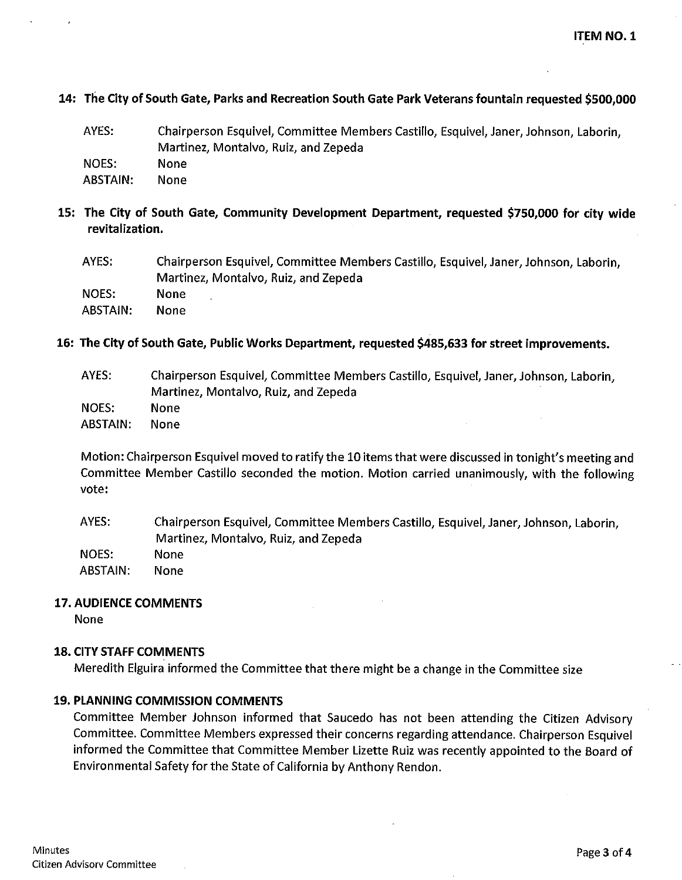ITEM NO. I

#### 14: The City of South Gate, Parks and Recreation South Gate Park Veterans fountain requested 6500,000

| AYES:    | Chairperson Esquivel, Committee Members Castillo, Esquivel, Janer, Johnson, Laborin, |
|----------|--------------------------------------------------------------------------------------|
|          | Martinez, Montalvo, Ruiz, and Zepeda                                                 |
| NOES:    | None                                                                                 |
| ABSTAIN: | None.                                                                                |

15: The City of South Gate, Community Development Department, requested \$750,000 for city wide revitalization.

| AYES:    | Chairperson Esquivel, Committee Members Castillo, Esquivel, Janer, Johnson, Laborin, |
|----------|--------------------------------------------------------------------------------------|
|          | Martinez, Montalvo, Ruiz, and Zepeda                                                 |
| NOES:    | None                                                                                 |
| ABSTAIN: | <b>None</b>                                                                          |

16: The City of South Gate, Public Works Department, requested S485,633 for street improvements.

AYES: NOES: **ABSTAIN:** Chairperson Esquivel, Committee Members Castillo, Esquivel, Janer, Johnson, Laborin, Martinez, Montalvo, Ruiz, and Zepeda None None

Motion: Chairperson Esquivel moved to ratify the 10 items that were discussed in tonight's meeting and Committee Member Castillo seconded the motion. Motion carried unanimously, with the following vote:

AYES: NOES: ABSTAIN: Chairperson Esquivel, Committee Members Castillo, Esquivel, Janer, Johnson, Laborin, Martinez, Montalvo, Ruiz, and Zepeda None None

#### 17. AUDIENCE COMMENTS

None

#### 18. CITY STAFF COMMENTS

Meredith Elguira informed the Committee that there might be a change in the Committee size

#### 19. PIANNING COMMISSION COMMENTS

Committee Member Johnson informed that Saucedo has not been attending the Citizen Advisory Committee. Committee Members expressed their concerns regarding attendance. Chairperson Esquivel informed the Committee that Committee Member Lizette Ruiz was recently appointed to the Board of Environmental Safety for the State of California by Anthony Rendon.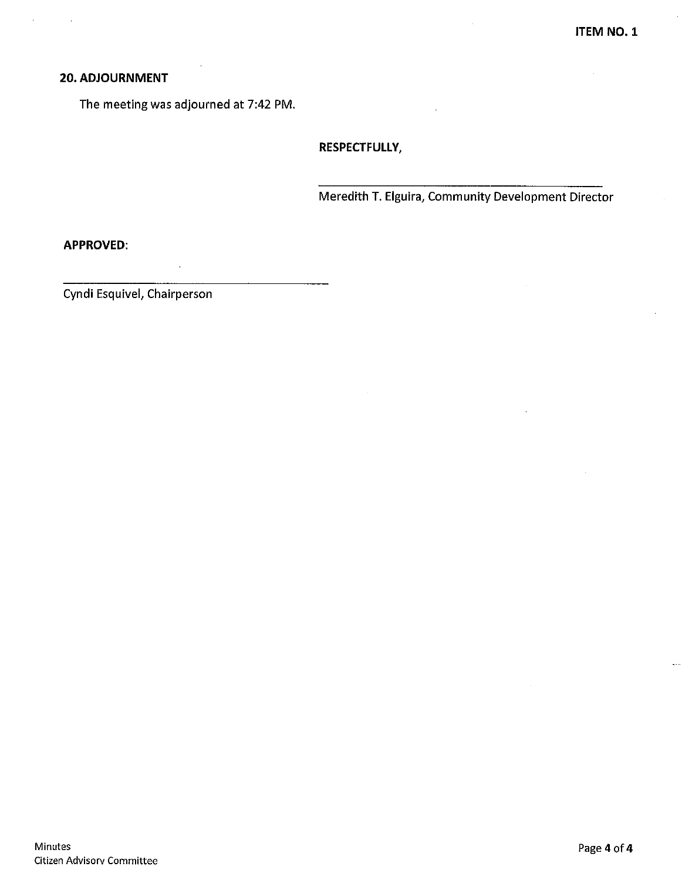## 20. ADJOURNMENT

The meeting was adjourned at 7:42 PM.

RESPECTFULLY,

Meredith T. Elguira, Community Development Director

APPROVED:

Cyndi Esquivel, Chairperson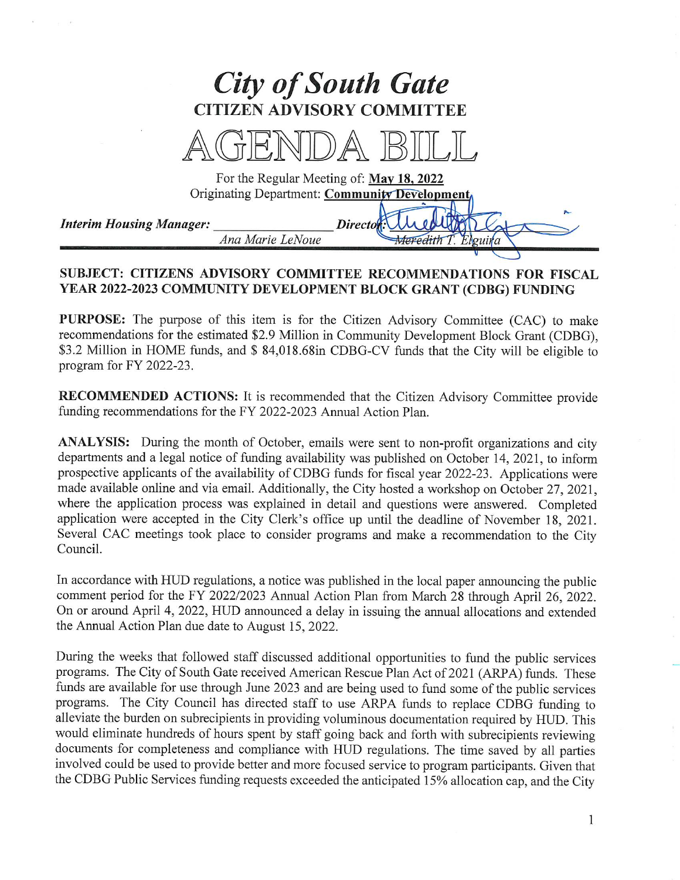

# SUBJECT: CITIZENS ADVISORY COMMITTEE RECOMMENDATIONS FOR FISCAL YEAR 2022-2023 COMMUNITY DEVELOPMENT BLOCK GRANT (CDBG) FUNDING

PURPOSE: The purpose of this item is for the Citizen Advisory Committee (CAC) to make recommendations for the estimated \$2.9 Million in Community Development Block Grant (CDBG), \$3.2 Million in HOME funds, and \$ 84,018.68in CDBG-CV funds that the City will be eligible to program for FY 2022-23.

RECOMMENDED ACTIONS: It is recommended that the Citizen Advisory Committee provide funding recommendations for the FY 2022-2023 Annual Action Plan.

ANALYSIS: During the month of October, emails were sent to non-profit organizations and city departments and a legal notice of funding availability was published on October 14, 2021, to inform prospective applicants of the availability of CDBG funds for fiscal year 2022-23. Applications were made available online and via email. Additionally, the City hosted a workshop on October 27, 2021, where the application process was explained in detail and questions were answered. Completed application were accepted in the City Clerk's office up until the deadline of November 18, 2021. Several CAC meetings took place to consider programs and make a recommendation to the City Council.

In accordance with HUD regulations, a notice was published in the local paper announcing the public comment period for the FY 2022/2023 Annual Action Plan from March 28 through April 26, 2022. On or around April 4, 2022, HUD announced a delay in issuing the annual allocations and extended the Annual Action Plan due date to August 15, 2022.

During the weeks that followed staff discussed additional opportunities to fund the public services programs. The City of South Gate received American Rescue Plan Act of 2021 (ARPA) funds. These funds are available for use through June 2023 and are being used to fund some of the public services programs. The City Council has directed staff to use ARPA funds to replace CDBG funding to alleviate the burden on subrecipients in providing voluminous documentation required by HUD. This would eliminate hundreds of hours spent by staff going back and forth with subrecipients reviewing documents for completeness and compliance with HUD regulations. The time saved by all parties involved could be used to provide better and more focused service to program participants. Given that the CDBG Public Services funding requests exceeded the anticipated 15% allocation cap, and the City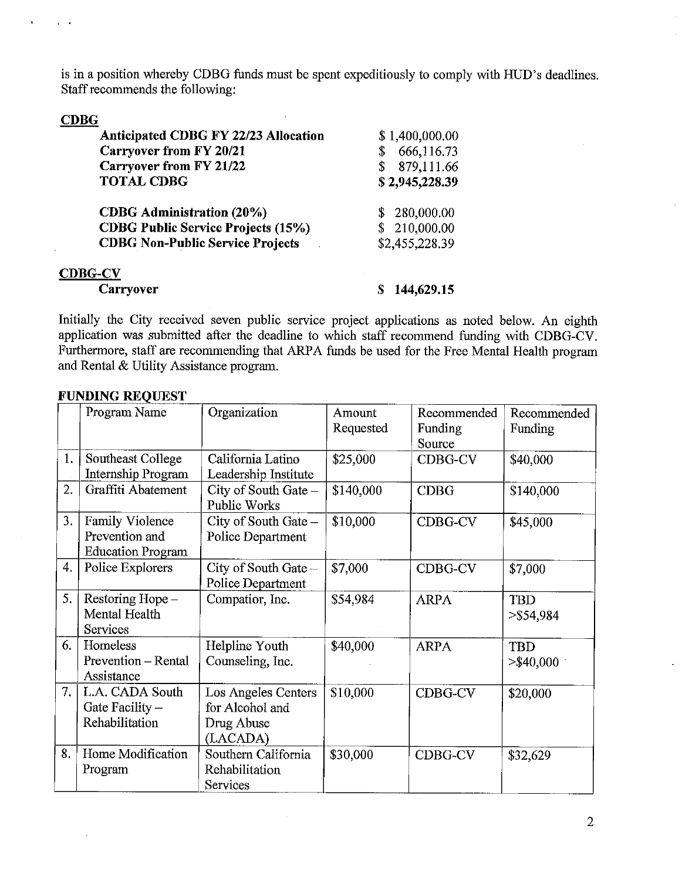is in a position whereby CDBG funds must be spent expeditiously to comply with HUD's deadlines. Staff recommends the following:

## CDBG

| <b>Anticipated CDBG FY 22/23 Allocation</b> | \$1,400,000.00   |
|---------------------------------------------|------------------|
| <b>Carryover from FY 20/21</b>              | 666,116.73<br>\$ |
| <b>Carryover from FY 21/22</b>              | 879,111.66       |
| <b>TOTAL CDBG</b>                           | \$2,945,228.39   |
| <b>CDBG</b> Administration (20%)            | 280,000.00       |
| <b>CDBG Public Service Projects (15%)</b>   | \$210,000.00     |
| <b>CDBG Non-Public Service Projects</b>     | \$2,455,228.39   |
| <b>CDBG-CV</b>                              |                  |
| Carryover                                   | 144,629.15       |

Initially the City received seven public service project applications as noted below. An eighth application was submitted after the deadline to which staff recommend funding with CDBG-CV. Fiuthermore, staff are recommending that ARPA funds be used for the Free Mental Health program and Rental & Utility Assistance program.

|    | Program Name             | Organization                         | Amount    | Recommended | Recommended  |
|----|--------------------------|--------------------------------------|-----------|-------------|--------------|
|    |                          |                                      | Requested | Funding     | Funding      |
|    |                          |                                      |           | Source      |              |
| 1. | Southeast College        | California Latino                    | \$25,000  | CDBG-CV     | \$40,000     |
|    | Internship Program       | Leadership Institute                 |           |             |              |
| 2. | Graffiti Abatement       | City of South Gate -<br>Public Works | \$140,000 | <b>CDBG</b> | \$140,000    |
| 3. | Family Violence          | City of South Gate $-$               | \$10,000  | CDBG-CV     | \$45,000     |
|    | Prevention and           | Police Department                    |           |             |              |
|    | <b>Education Program</b> |                                      |           |             |              |
| 4. | Police Explorers         | City of South Gate -                 | \$7,000   | CDBG-CV     | \$7,000      |
|    |                          | Police Department                    |           |             |              |
| 5. | Restoring Hope -         | Compatior, Inc.                      | \$54,984  | <b>ARPA</b> | <b>TBD</b>   |
|    | Mental Health            |                                      |           |             | $>$ \$54,984 |
|    | Services                 |                                      |           |             |              |
| 6. | Homeless                 | Helpline Youth                       | \$40,000  | <b>ARPA</b> | <b>TBD</b>   |
|    | Prevention - Rental      | Counseling, Inc.                     |           |             | $>$ \$40,000 |
|    | Assistance               |                                      |           |             |              |
| 7. | L.A. CADA South          | Los Angeles Centers                  | \$10,000  | CDBG-CV     | \$20,000     |
|    | Gate Facility $-$        | for Alcohol and                      |           |             |              |
|    | Rehabilitation           | Drug Abuse                           |           |             |              |
|    |                          | (LACADA)                             |           |             |              |
| 8. | Home Modification        | Southern California                  | \$30,000  | CDBG-CV     | \$32,629     |
|    | Program                  | Rehabilitation                       |           |             |              |
|    |                          | Services                             |           |             |              |

 $\sim$ 

#### FUNDING REQUEST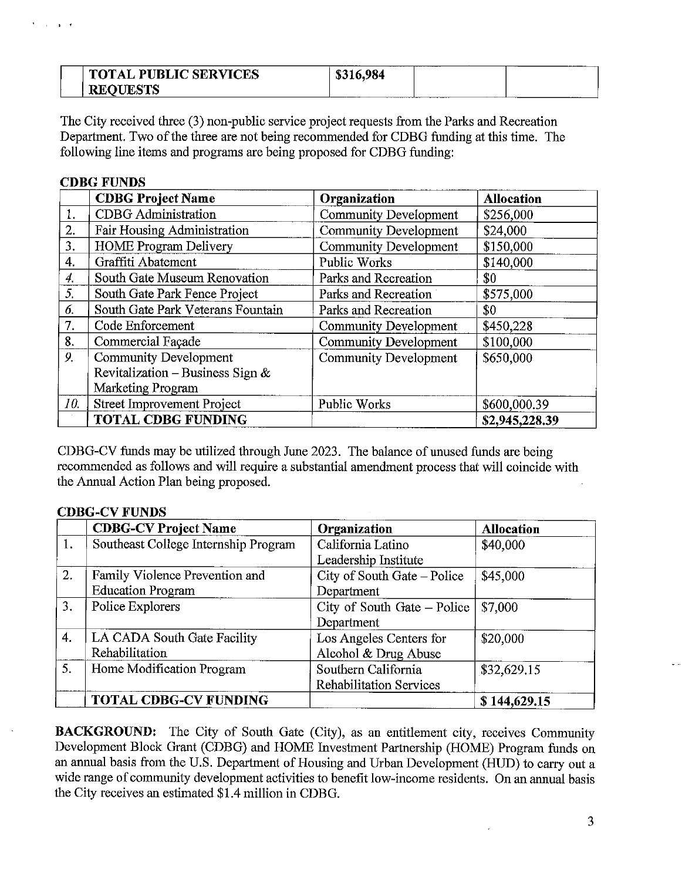| <b>NICES</b><br><b>PUBLIC SERVI</b><br><b>TOT.</b><br>TAL | ------<br>984.<br>Ξв.<br>o. | _________ |
|-----------------------------------------------------------|-----------------------------|-----------|
| CTC<br>RE <sub>1</sub>                                    | _____                       |           |

The City received three (3) non-public service project requests from the Parks and Recreation Department. Two of the three are not being recommended for CDBG funding at this time. The following line items and programs are being proposed for CDBG funding:

|     | <b>CDBG Project Name</b>            | Organization                 | <b>Allocation</b> |
|-----|-------------------------------------|------------------------------|-------------------|
| 1.  | <b>CDBG</b> Administration          | <b>Community Development</b> | \$256,000         |
| 2.  | <b>Fair Housing Administration</b>  | <b>Community Development</b> | \$24,000          |
| 3.  | <b>HOME Program Delivery</b>        | <b>Community Development</b> | \$150,000         |
| 4.  | Graffiti Abatement                  | Public Works                 | \$140,000         |
| 4.  | South Gate Museum Renovation        | Parks and Recreation         | \$0               |
| 5.  | South Gate Park Fence Project       | Parks and Recreation         | \$575,000         |
| 6.  | South Gate Park Veterans Fountain   | Parks and Recreation         | \$0               |
| 7.  | Code Enforcement                    | <b>Community Development</b> | \$450,228         |
| 8.  | Commercial Façade                   | <b>Community Development</b> | \$100,000         |
| 9.  | <b>Community Development</b>        | <b>Community Development</b> | \$650,000         |
|     | Revitalization – Business Sign $\&$ |                              |                   |
|     | Marketing Program                   |                              |                   |
| 10. | <b>Street Improvement Project</b>   | Public Works                 | \$600,000.39      |
|     | <b>TOTAL CDBG FUNDING</b>           |                              | \$2,945,228.39    |

CDBG-CV funds may be utilized through June 2023. The balance of unused funds are being recommended as follows and will require a substantial amendment process that will coincide with the Annual Action Plan being proposed.

## **CDBG-CV FUNDS**

**CDBC FUNDS** 

|                | <b>CDBG-CV Project Name</b>          | Organization                   | <b>Allocation</b> |
|----------------|--------------------------------------|--------------------------------|-------------------|
| 1.             | Southeast College Internship Program | California Latino              | \$40,000          |
|                |                                      | Leadership Institute           |                   |
| 2.             | Family Violence Prevention and       | City of South Gate - Police    | \$45,000          |
|                | <b>Education Program</b>             | Department                     |                   |
| 3.             | Police Explorers                     | City of South Gate - Police    | \$7,000           |
|                |                                      | Department                     |                   |
| $\overline{4}$ | LA CADA South Gate Facility          | Los Angeles Centers for        | \$20,000          |
|                | Rehabilitation                       | Alcohol & Drug Abuse           |                   |
| 5.             | Home Modification Program            | Southern California            | \$32,629.15       |
|                |                                      | <b>Rehabilitation Services</b> |                   |
|                | <b>TOTAL CDBG-CV FUNDING</b>         |                                | \$144,629.15      |

BACKGROUND: The City of South Gate (City), as an entitlement city, receives Community Development Block Grant (CDBG) and HOME Investment Partnership (HOME) Program funds on an annual basis from the U.S. Department of Housing and Urban Development (HUD) to carry out a wide range of community development activities to benefit low-income residents. On an annual basis the City receives an estimated \$1.4 million in CDBG.